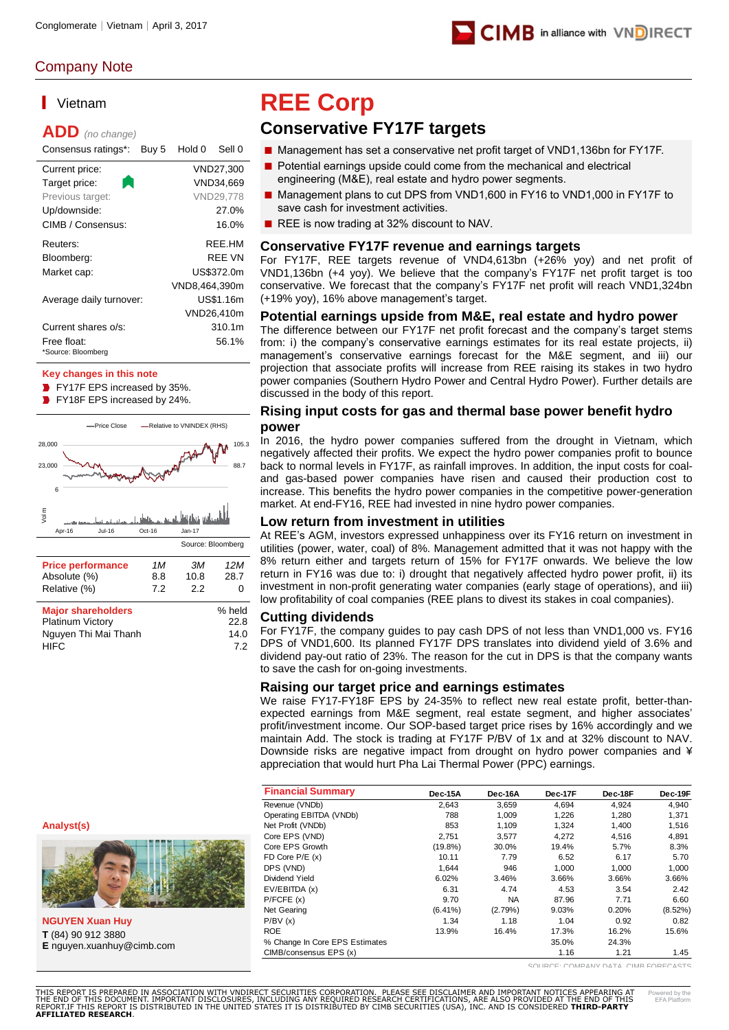# Company Note

# ▎Vietnam

**ADD** *(no change)*

| Consensus ratings*:     | Buy 5 | Hold 0        | Sell 0           |
|-------------------------|-------|---------------|------------------|
| Current price:          |       |               | VND27,300        |
| Target price:           |       |               | VND34.669        |
| Previous target:        |       |               | <b>VND29,778</b> |
| Up/downside:            |       |               | 27.0%            |
| CIMB / Consensus:       |       |               | 16.0%            |
| Reuters:                |       |               | REE.HM           |
| Bloomberg:              |       |               | RFF VN           |
| Market cap:             |       |               | US\$372.0m       |
|                         |       | VND8,464,390m |                  |
| Average daily turnover: |       |               | US\$1.16m        |
|                         |       |               | VND26,410m       |
| Current shares o/s:     |       |               | 310.1m           |
| Free float:             |       |               | 56.1%            |
| *Source: Bloomberg      |       |               |                  |

#### **Key changes in this note**

**FY17F EPS increased by 35%.** 

**FY18F EPS increased by 24%.** 



| <b>Platinum Victory</b> | 22.8 |
|-------------------------|------|
| Nguyen Thi Mai Thanh    | 14.0 |
| <b>HIFC</b>             | 7.2  |

# **REE Corp**

# **Conservative FY17F targets**

- Management has set a conservative net profit target of VND1,136bn for FY17F.
- Potential earnings upside could come from the mechanical and electrical engineering (M&E), real estate and hydro power segments.
- Management plans to cut DPS from VND1,600 in FY16 to VND1,000 in FY17F to save cash for investment activities.
- REE is now trading at 32% discount to NAV.

#### **Conservative FY17F revenue and earnings targets**

For FY17F, REE targets revenue of VND4,613bn (+26% yoy) and net profit of VND1,136bn (+4 yoy). We believe that the company's FY17F net profit target is too conservative. We forecast that the company's FY17F net profit will reach VND1,324bn (+19% yoy), 16% above management's target.

#### **Potential earnings upside from M&E, real estate and hydro power**

The difference between our FY17F net profit forecast and the company's target stems from: i) the company's conservative earnings estimates for its real estate projects, ii) management's conservative earnings forecast for the M&E segment, and iii) our projection that associate profits will increase from REE raising its stakes in two hydro power companies (Southern Hydro Power and Central Hydro Power). Further details are discussed in the body of this report.

#### **Rising input costs for gas and thermal base power benefit hydro power**

In 2016, the hydro power companies suffered from the drought in Vietnam, which negatively affected their profits. We expect the hydro power companies profit to bounce back to normal levels in FY17F, as rainfall improves. In addition, the input costs for coaland gas-based power companies have risen and caused their production cost to increase. This benefits the hydro power companies in the competitive power-generation market. At end-FY16, REE had invested in nine hydro power companies.

#### **Low return from investment in utilities**

At REE's AGM, investors expressed unhappiness over its FY16 return on investment in utilities (power, water, coal) of 8%. Management admitted that it was not happy with the 8% return either and targets return of 15% for FY17F onwards. We believe the low return in FY16 was due to: i) drought that negatively affected hydro power profit, ii) its investment in non-profit generating water companies (early stage of operations), and iii) low profitability of coal companies (REE plans to divest its stakes in coal companies).

#### **Cutting dividends**

For FY17F, the company guides to pay cash DPS of not less than VND1,000 vs. FY16 DPS of VND1,600. Its planned FY17F DPS translates into dividend yield of 3.6% and dividend pay-out ratio of 23%. The reason for the cut in DPS is that the company wants to save the cash for on-going investments.

#### **Raising our target price and earnings estimates**

We raise FY17-FY18F EPS by 24-35% to reflect new real estate profit, better-thanexpected earnings from M&E segment, real estate segment, and higher associates' profit/investment income. Our SOP-based target price rises by 16% accordingly and we maintain Add. The stock is trading at FY17F P/BV of 1x and at 32% discount to NAV. Downside risks are negative impact from drought on hydro power companies and ¥ appreciation that would hurt Pha Lai Thermal Power (PPC) earnings.

| <b>Financial Summary</b>       | Dec-15A    | Dec-16A   | Dec-17F | Dec-18F | Dec-19F    |
|--------------------------------|------------|-----------|---------|---------|------------|
| Revenue (VNDb)                 | 2.643      | 3,659     | 4.694   | 4.924   | 4,940      |
| Operating EBITDA (VNDb)        | 788        | 1.009     | 1.226   | 1.280   | 1,371      |
| Net Profit (VNDb)              | 853        | 1,109     | 1,324   | 1.400   | 1,516      |
| Core EPS (VND)                 | 2.751      | 3.577     | 4.272   | 4,516   | 4,891      |
| Core EPS Growth                | $(19.8\%)$ | 30.0%     | 19.4%   | 5.7%    | 8.3%       |
| $FD$ Core $P/E(x)$             | 10.11      | 7.79      | 6.52    | 6.17    | 5.70       |
| DPS (VND)                      | 1.644      | 946       | 1.000   | 1.000   | 1,000      |
| Dividend Yield                 | 6.02%      | 3.46%     | 3.66%   | 3.66%   | 3.66%      |
| EV/EBITDA (x)                  | 6.31       | 4.74      | 4.53    | 3.54    | 2.42       |
| P/FCFE(x)                      | 9.70       | <b>NA</b> | 87.96   | 7.71    | 6.60       |
| Net Gearing                    | $(6.41\%)$ | (2.79%)   | 9.03%   | 0.20%   | $(8.52\%)$ |
| P/BV(x)                        | 1.34       | 1.18      | 1.04    | 0.92    | 0.82       |
| <b>ROE</b>                     | 13.9%      | 16.4%     | 17.3%   | 16.2%   | 15.6%      |
| % Change In Core EPS Estimates |            |           | 35.0%   | 24.3%   |            |
| CIMB/consensus EPS (x)         |            |           | 1.16    | 1.21    | 1.45       |

SOURCE: COMPANY DATA, CIMB FORECASTS

**Analyst(s)**



**NGUYEN Xuan Huy T** (84) 90 912 3880 **E** nguyen.xuanhuy@cimb.com

THIS REPORT IS PREPARED IN ASSOCIATION WITH VNDIRECT SECURITIES CORPORATION. PLEASE SEE DISCLAIMER AND IMPORTANT NOTICES APPEARING AT<br>THE END OF THIS DOCUMENT. IMPORTANT DISCLOSURES, INCLUDING ANY REQUIRED RESEARCH CERTIF vered by the EFA Pla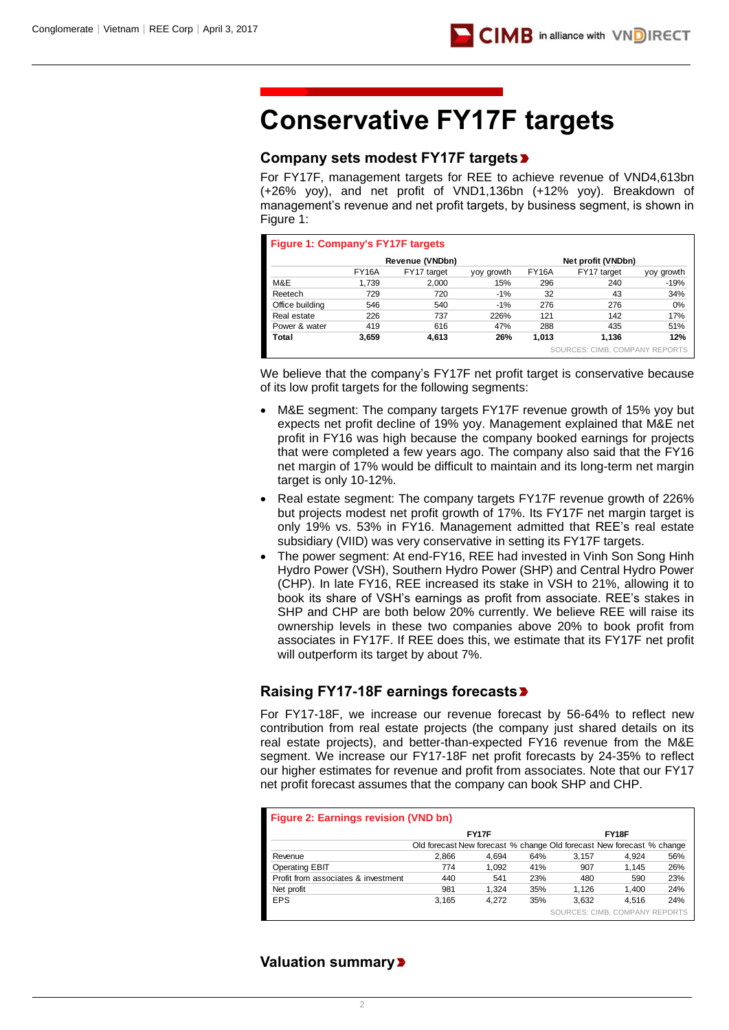

# **Conservative FY17F targets**

#### **Company sets modest FY17F targets**

For FY17F, management targets for REE to achieve revenue of VND4,613bn (+26% yoy), and net profit of VND1,136bn (+12% yoy). Breakdown of management's revenue and net profit targets, by business segment, is shown in Figure 1:

| <b>Figure 1: Company's FY17F targets</b> |       |             |            |                    |                                |            |
|------------------------------------------|-------|-------------|------------|--------------------|--------------------------------|------------|
| Revenue (VNDbn)                          |       |             |            | Net profit (VNDbn) |                                |            |
|                                          | FY16A | FY17 target | yoy growth | FY <sub>16</sub> A | FY17 target                    | yoy growth |
| M&E                                      | 1.739 | 2.000       | 15%        | 296                | 240                            | $-19%$     |
| Reetech                                  | 729   | 720         | $-1%$      | 32                 | 43                             | 34%        |
| Office building                          | 546   | 540         | $-1%$      | 276                | 276                            | 0%         |
| Real estate                              | 226   | 737         | 226%       | 121                | 142                            | 17%        |
| Power & water                            | 419   | 616         | 47%        | 288                | 435                            | 51%        |
| Total                                    | 3.659 | 4,613       | 26%        | 1.013              | 1.136                          | 12%        |
|                                          |       |             |            |                    | SOURCES: CIMB. COMPANY REPORTS |            |

- M&E segment: The company targets FY17F revenue growth of 15% yoy but expects net profit decline of 19% yoy. Management explained that M&E net profit in FY16 was high because the company booked earnings for projects that were completed a few years ago. The company also said that the FY16 net margin of 17% would be difficult to maintain and its long-term net margin target is only 10-12%.
- Real estate segment: The company targets FY17F revenue growth of 226% but projects modest net profit growth of 17%. Its FY17F net margin target is only 19% vs. 53% in FY16. Management admitted that REE's real estate subsidiary (VIID) was very conservative in setting its FY17F targets.
- The power segment: At end-FY16, REE had invested in Vinh Son Song Hinh Hydro Power (VSH), Southern Hydro Power (SHP) and Central Hydro Power (CHP). In late FY16, REE increased its stake in VSH to 21%, allowing it to book its share of VSH's earnings as profit from associate. REE's stakes in SHP and CHP are both below 20% currently. We believe REE will raise its ownership levels in these two companies above 20% to book profit from associates in FY17F. If REE does this, we estimate that its FY17F net profit will outperform its target by about 7%.

## **Raising FY17-18F earnings forecasts**

| M&E                                                                                                                                                                                                                                                                                                                                                                                                                                                                                                                                                                                                                                                                                                                                                                                                                                                                                                                                                                                                                                      | 1,739      | 2,000                                                                  | 15%                                                                   | 296        |                                         | 240        | -19%       |
|------------------------------------------------------------------------------------------------------------------------------------------------------------------------------------------------------------------------------------------------------------------------------------------------------------------------------------------------------------------------------------------------------------------------------------------------------------------------------------------------------------------------------------------------------------------------------------------------------------------------------------------------------------------------------------------------------------------------------------------------------------------------------------------------------------------------------------------------------------------------------------------------------------------------------------------------------------------------------------------------------------------------------------------|------------|------------------------------------------------------------------------|-----------------------------------------------------------------------|------------|-----------------------------------------|------------|------------|
|                                                                                                                                                                                                                                                                                                                                                                                                                                                                                                                                                                                                                                                                                                                                                                                                                                                                                                                                                                                                                                          |            |                                                                        |                                                                       |            |                                         |            |            |
| Reetech                                                                                                                                                                                                                                                                                                                                                                                                                                                                                                                                                                                                                                                                                                                                                                                                                                                                                                                                                                                                                                  | 729        | 720                                                                    | $-1%$                                                                 | 32         |                                         | 43         | 34%        |
| Office building                                                                                                                                                                                                                                                                                                                                                                                                                                                                                                                                                                                                                                                                                                                                                                                                                                                                                                                                                                                                                          | 546        | 540                                                                    | $-1%$                                                                 | 276<br>121 |                                         | 276        | 0%         |
| Real estate<br>Power & water                                                                                                                                                                                                                                                                                                                                                                                                                                                                                                                                                                                                                                                                                                                                                                                                                                                                                                                                                                                                             | 226<br>419 | 737<br>616                                                             | 226%<br>47%                                                           | 288        |                                         | 142<br>435 | 17%<br>51% |
| Total                                                                                                                                                                                                                                                                                                                                                                                                                                                                                                                                                                                                                                                                                                                                                                                                                                                                                                                                                                                                                                    | 3,659      | 4,613                                                                  | 26%                                                                   | 1,013      |                                         | 1,136      | 12%        |
|                                                                                                                                                                                                                                                                                                                                                                                                                                                                                                                                                                                                                                                                                                                                                                                                                                                                                                                                                                                                                                          |            |                                                                        |                                                                       |            | SOURCES: CIMB, COMPANY REPORTS          |            |            |
| M&E segment: The company targets FY17F revenue growth of 15% yoy bu<br>expects net profit decline of 19% yoy. Management explained that M&E ne<br>profit in FY16 was high because the company booked earnings for projects<br>that were completed a few years ago. The company also said that the FY16<br>net margin of 17% would be difficult to maintain and its long-term net margir<br>target is only 10-12%.<br>Real estate segment: The company targets FY17F revenue growth of 226%<br>but projects modest net profit growth of 17%. Its FY17F net margin target is<br>only 19% vs. 53% in FY16. Management admitted that REE's real estate<br>subsidiary (VIID) was very conservative in setting its FY17F targets.                                                                                                                                                                                                                                                                                                              |            | The power segment: At end-FY16, REE had invested in Vinh Son Song Hinh |                                                                       |            |                                         |            |            |
| Hydro Power (VSH), Southern Hydro Power (SHP) and Central Hydro Powe<br>(CHP). In late FY16, REE increased its stake in VSH to 21%, allowing it to<br>book its share of VSH's earnings as profit from associate. REE's stakes ir<br>SHP and CHP are both below 20% currently. We believe REE will raise its<br>ownership levels in these two companies above 20% to book profit from<br>associates in FY17F. If REE does this, we estimate that its FY17F net profi<br>will outperform its target by about 7%.<br>Raising FY17-18F earnings forecasts ><br>For FY17-18F, we increase our revenue forecast by 56-64% to reflect new<br>contribution from real estate projects (the company just shared details on its<br>real estate projects), and better-than-expected FY16 revenue from the M&E<br>segment. We increase our FY17-18F net profit forecasts by 24-35% to reflec<br>our higher estimates for revenue and profit from associates. Note that our FY17<br>net profit forecast assumes that the company can book SHP and CHP. |            |                                                                        |                                                                       |            |                                         |            |            |
|                                                                                                                                                                                                                                                                                                                                                                                                                                                                                                                                                                                                                                                                                                                                                                                                                                                                                                                                                                                                                                          |            |                                                                        | FY17F                                                                 |            |                                         | FY18F      |            |
| <b>Figure 2: Earnings revision (VND bn)</b>                                                                                                                                                                                                                                                                                                                                                                                                                                                                                                                                                                                                                                                                                                                                                                                                                                                                                                                                                                                              |            |                                                                        | Old forecast New forecast % change Old forecast New forecast % change |            |                                         |            |            |
| Revenue                                                                                                                                                                                                                                                                                                                                                                                                                                                                                                                                                                                                                                                                                                                                                                                                                                                                                                                                                                                                                                  |            | 2,866                                                                  | 4,694                                                                 | 64%        | 3,157                                   | 4,924      | 56%        |
| <b>Operating EBIT</b>                                                                                                                                                                                                                                                                                                                                                                                                                                                                                                                                                                                                                                                                                                                                                                                                                                                                                                                                                                                                                    |            | 774                                                                    | 1,092                                                                 | 41%        | 907                                     | 1,145      | 26%        |
| Profit from associates & investment                                                                                                                                                                                                                                                                                                                                                                                                                                                                                                                                                                                                                                                                                                                                                                                                                                                                                                                                                                                                      |            | 440                                                                    | 541                                                                   | 23%        | 480                                     | 590        | 23%        |
|                                                                                                                                                                                                                                                                                                                                                                                                                                                                                                                                                                                                                                                                                                                                                                                                                                                                                                                                                                                                                                          |            | 981                                                                    | 1,324                                                                 | 35%        | 1,126                                   | 1,400      |            |
| Net profit<br><b>EPS</b>                                                                                                                                                                                                                                                                                                                                                                                                                                                                                                                                                                                                                                                                                                                                                                                                                                                                                                                                                                                                                 |            | 3,165                                                                  | 4,272                                                                 | 35%        | 3,632<br>SOURCES: CIMB, COMPANY REPORTS | 4,516      | 24%<br>24% |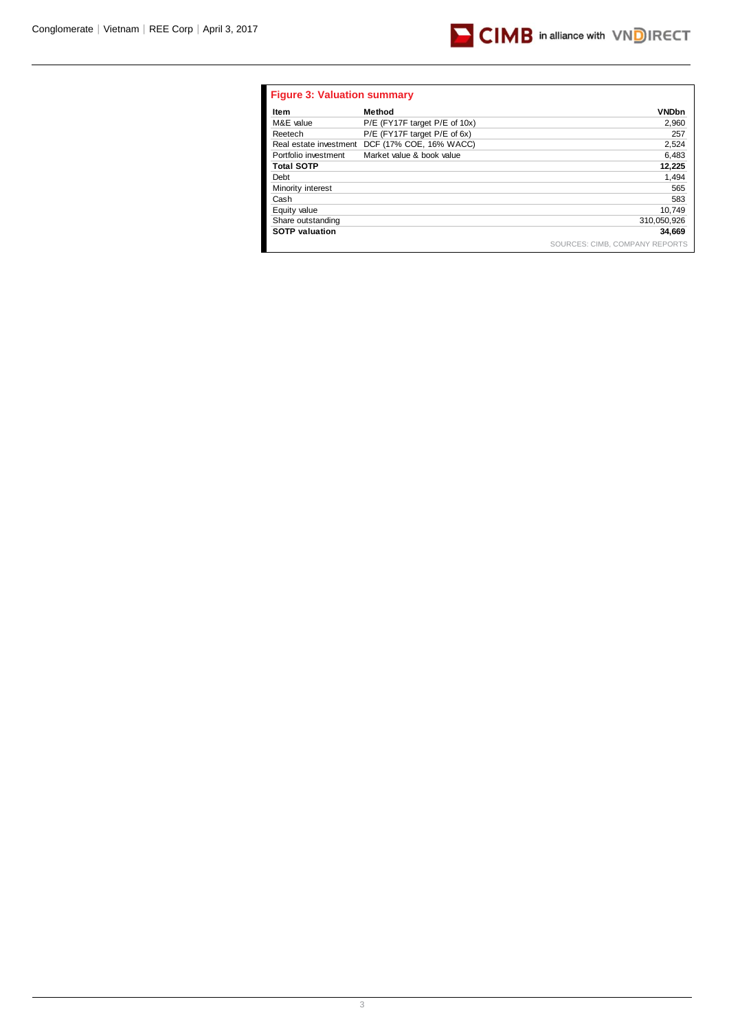

| <b>Figure 3: Valuation summary</b> |                               |                                |
|------------------------------------|-------------------------------|--------------------------------|
| ltem                               | Method                        | <b>VNDbn</b>                   |
| M&E value                          | P/E (FY17F target P/E of 10x) | 2.960                          |
| Reetech                            | P/E (FY17F target P/E of 6x)  | 257                            |
| Real estate investment             | DCF (17% COE, 16% WACC)       | 2.524                          |
| Portfolio investment               | Market value & book value     | 6.483                          |
| <b>Total SOTP</b>                  |                               | 12,225                         |
| Debt                               |                               | 1.494                          |
| Minority interest                  |                               | 565                            |
| Cash                               |                               | 583                            |
| Equity value                       |                               | 10.749                         |
| Share outstanding                  |                               | 310,050,926                    |
| <b>SOTP</b> valuation              |                               | 34.669                         |
|                                    |                               | SOURCES: CIMB. COMPANY REPORTS |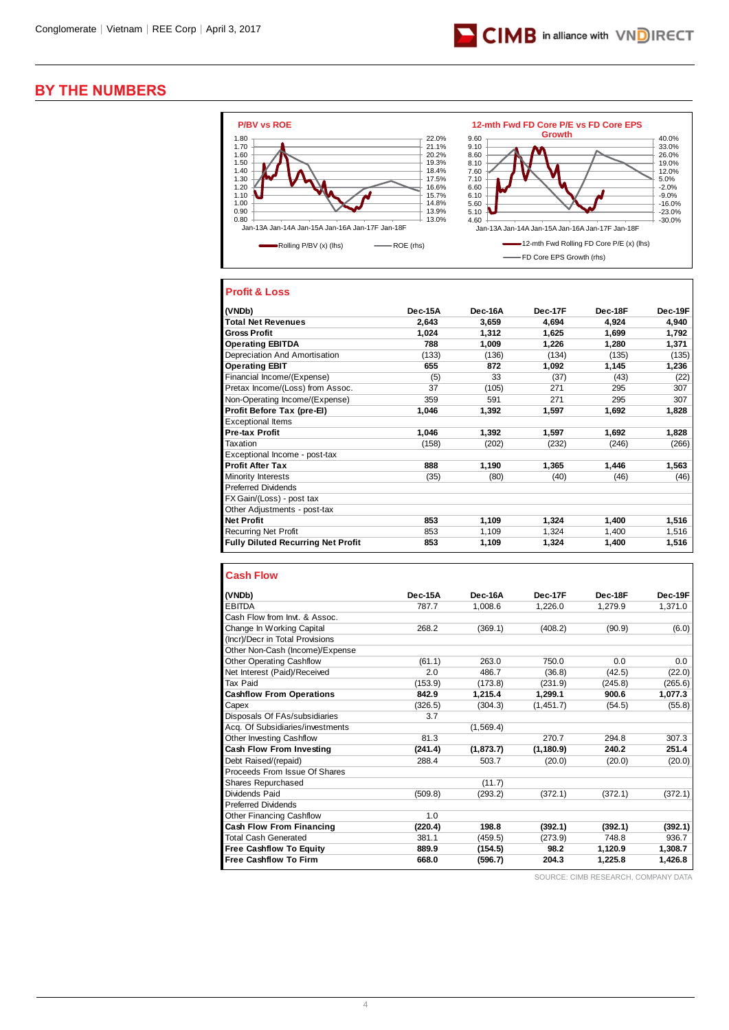

## **BY THE NUMBERS**



#### **Profit & Loss**

| (VNDb)                                    | Dec-15A | Dec-16A | Dec-17F | Dec-18F | Dec-19F |
|-------------------------------------------|---------|---------|---------|---------|---------|
| <b>Total Net Revenues</b>                 | 2,643   | 3,659   | 4,694   | 4,924   | 4,940   |
| <b>Gross Profit</b>                       | 1,024   | 1,312   | 1,625   | 1,699   | 1,792   |
| <b>Operating EBITDA</b>                   | 788     | 1,009   | 1,226   | 1,280   | 1,371   |
| Depreciation And Amortisation             | (133)   | (136)   | (134)   | (135)   | (135)   |
| <b>Operating EBIT</b>                     | 655     | 872     | 1,092   | 1,145   | 1,236   |
| Financial Income/(Expense)                | (5)     | 33      | (37)    | (43)    | (22)    |
| Pretax Income/(Loss) from Assoc.          | 37      | (105)   | 271     | 295     | 307     |
| Non-Operating Income/(Expense)            | 359     | 591     | 271     | 295     | 307     |
| Profit Before Tax (pre-EI)                | 1,046   | 1,392   | 1,597   | 1,692   | 1,828   |
| <b>Exceptional Items</b>                  |         |         |         |         |         |
| <b>Pre-tax Profit</b>                     | 1,046   | 1,392   | 1,597   | 1,692   | 1,828   |
| Taxation                                  | (158)   | (202)   | (232)   | (246)   | (266)   |
| Exceptional Income - post-tax             |         |         |         |         |         |
| <b>Profit After Tax</b>                   | 888     | 1,190   | 1,365   | 1,446   | 1,563   |
| Minority Interests                        | (35)    | (80)    | (40)    | (46)    | (46)    |
| <b>Preferred Dividends</b>                |         |         |         |         |         |
| FX Gain/(Loss) - post tax                 |         |         |         |         |         |
| Other Adjustments - post-tax              |         |         |         |         |         |
| <b>Net Profit</b>                         | 853     | 1,109   | 1,324   | 1,400   | 1,516   |
| <b>Recurring Net Profit</b>               | 853     | 1,109   | 1,324   | 1,400   | 1,516   |
| <b>Fully Diluted Recurring Net Profit</b> | 853     | 1,109   | 1,324   | 1,400   | 1,516   |

### **Cash Flow**

| (VNDb)                           | Dec-15A | Dec-16A    | Dec-17F    | Dec-18F | Dec-19F |
|----------------------------------|---------|------------|------------|---------|---------|
| <b>EBITDA</b>                    | 787.7   | 1,008.6    | 1,226.0    | 1,279.9 | 1,371.0 |
| Cash Flow from Invt. & Assoc.    |         |            |            |         |         |
| Change In Working Capital        | 268.2   | (369.1)    | (408.2)    | (90.9)  | (6.0)   |
| (Incr)/Decr in Total Provisions  |         |            |            |         |         |
| Other Non-Cash (Income)/Expense  |         |            |            |         |         |
| <b>Other Operating Cashflow</b>  | (61.1)  | 263.0      | 750.0      | 0.0     | 0.0     |
| Net Interest (Paid)/Received     | 2.0     | 486.7      | (36.8)     | (42.5)  | (22.0)  |
| <b>Tax Paid</b>                  | (153.9) | (173.8)    | (231.9)    | (245.8) | (265.6) |
| <b>Cashflow From Operations</b>  | 842.9   | 1,215.4    | 1,299.1    | 900.6   | 1,077.3 |
| Capex                            | (326.5) | (304.3)    | (1, 451.7) | (54.5)  | (55.8)  |
| Disposals Of FAs/subsidiaries    | 3.7     |            |            |         |         |
| Acq. Of Subsidiaries/investments |         | (1, 569.4) |            |         |         |
| <b>Other Investing Cashflow</b>  | 81.3    |            | 270.7      | 294.8   | 307.3   |
| Cash Flow From Investing         | (241.4) | (1,873.7)  | (1, 180.9) | 240.2   | 251.4   |
| Debt Raised/(repaid)             | 288.4   | 503.7      | (20.0)     | (20.0)  | (20.0)  |
| Proceeds From Issue Of Shares    |         |            |            |         |         |
| <b>Shares Repurchased</b>        |         | (11.7)     |            |         |         |
| Dividends Paid                   | (509.8) | (293.2)    | (372.1)    | (372.1) | (372.1) |
| <b>Preferred Dividends</b>       |         |            |            |         |         |
| <b>Other Financing Cashflow</b>  | 1.0     |            |            |         |         |
| Cash Flow From Financing         | (220.4) | 198.8      | (392.1)    | (392.1) | (392.1) |
| <b>Total Cash Generated</b>      | 381.1   | (459.5)    | (273.9)    | 748.8   | 936.7   |
| <b>Free Cashflow To Equity</b>   | 889.9   | (154.5)    | 98.2       | 1,120.9 | 1,308.7 |
| <b>Free Cashflow To Firm</b>     | 668.0   | (596.7)    | 204.3      | 1,225.8 | 1,426.8 |

SOURCE: CIMB RESEARCH, COMPANY DATA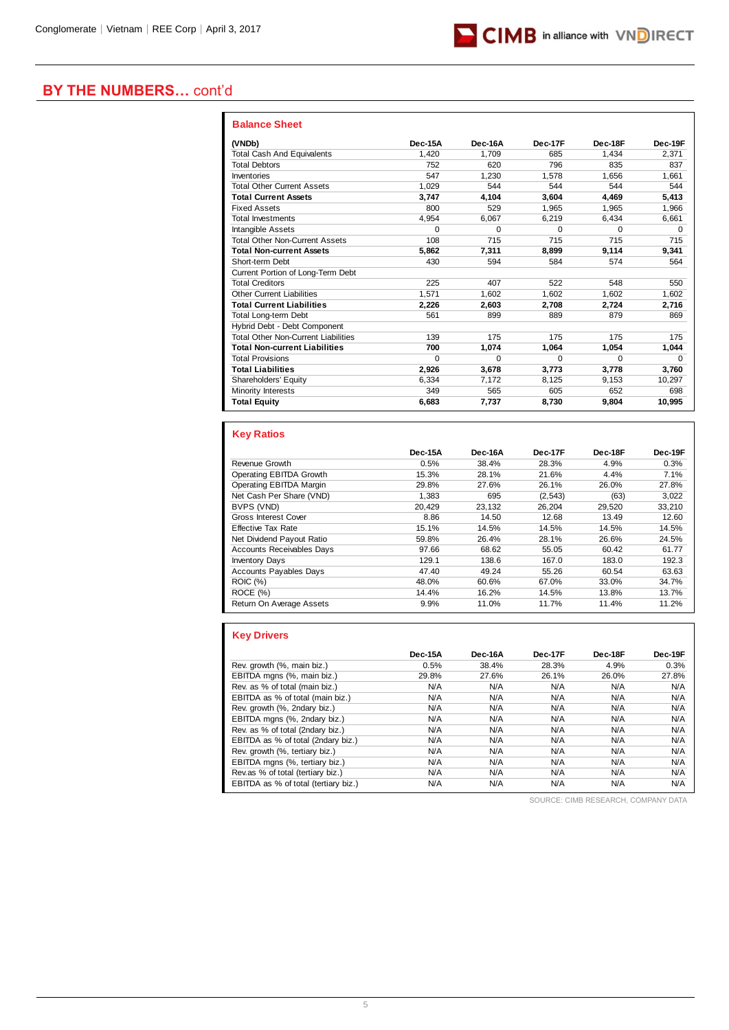# **BY THE NUMBERS…** cont'd

| <b>Balance Sheet</b>                       |         |          |          |          |         |
|--------------------------------------------|---------|----------|----------|----------|---------|
| (VNDb)                                     | Dec-15A | Dec-16A  | Dec-17F  | Dec-18F  | Dec-19F |
| <b>Total Cash And Equivalents</b>          | 1.420   | 1.709    | 685      | 1.434    | 2.371   |
| <b>Total Debtors</b>                       | 752     | 620      | 796      | 835      | 837     |
| Inventories                                | 547     | 1.230    | 1.578    | 1.656    | 1.661   |
| <b>Total Other Current Assets</b>          | 1.029   | 544      | 544      | 544      | 544     |
| <b>Total Current Assets</b>                | 3.747   | 4.104    | 3.604    | 4.469    | 5,413   |
| <b>Fixed Assets</b>                        | 800     | 529      | 1.965    | 1.965    | 1.966   |
| <b>Total Investments</b>                   | 4.954   | 6.067    | 6,219    | 6.434    | 6,661   |
| <b>Intangible Assets</b>                   | 0       | $\Omega$ | $\Omega$ | $\Omega$ | 0       |
| <b>Total Other Non-Current Assets</b>      | 108     | 715      | 715      | 715      | 715     |
| <b>Total Non-current Assets</b>            | 5,862   | 7,311    | 8.899    | 9,114    | 9,341   |
| Short-term Debt                            | 430     | 594      | 584      | 574      | 564     |
| Current Portion of Long-Term Debt          |         |          |          |          |         |
| <b>Total Creditors</b>                     | 225     | 407      | 522      | 548      | 550     |
| <b>Other Current Liabilities</b>           | 1.571   | 1.602    | 1.602    | 1.602    | 1.602   |
| <b>Total Current Liabilities</b>           | 2,226   | 2,603    | 2,708    | 2,724    | 2,716   |
| <b>Total Long-term Debt</b>                | 561     | 899      | 889      | 879      | 869     |
| Hybrid Debt - Debt Component               |         |          |          |          |         |
| <b>Total Other Non-Current Liabilities</b> | 139     | 175      | 175      | 175      | 175     |
| <b>Total Non-current Liabilities</b>       | 700     | 1.074    | 1.064    | 1.054    | 1,044   |
| <b>Total Provisions</b>                    | 0       | $\Omega$ | $\Omega$ | $\Omega$ | 0       |
| <b>Total Liabilities</b>                   | 2.926   | 3.678    | 3.773    | 3.778    | 3.760   |
| Shareholders' Equity                       | 6,334   | 7,172    | 8,125    | 9.153    | 10,297  |
| Minority Interests                         | 349     | 565      | 605      | 652      | 698     |
| <b>Total Equity</b>                        | 6,683   | 7.737    | 8.730    | 9.804    | 10,995  |

#### **Key Ratios**

|                                  | Dec-15A | Dec-16A | Dec-17F | Dec-18F | Dec-19F |
|----------------------------------|---------|---------|---------|---------|---------|
| Revenue Growth                   | 0.5%    | 38.4%   | 28.3%   | 4.9%    | 0.3%    |
| Operating EBITDA Growth          | 15.3%   | 28.1%   | 21.6%   | 4.4%    | 7.1%    |
| Operating EBITDA Margin          | 29.8%   | 27.6%   | 26.1%   | 26.0%   | 27.8%   |
| Net Cash Per Share (VND)         | 1.383   | 695     | (2,543) | (63)    | 3.022   |
| BVPS (VND)                       | 20.429  | 23,132  | 26,204  | 29,520  | 33,210  |
| Gross Interest Cover             | 8.86    | 14.50   | 12.68   | 13.49   | 12.60   |
| <b>Effective Tax Rate</b>        | 15.1%   | 14.5%   | 14.5%   | 14.5%   | 14.5%   |
| Net Dividend Payout Ratio        | 59.8%   | 26.4%   | 28.1%   | 26.6%   | 24.5%   |
| <b>Accounts Receivables Days</b> | 97.66   | 68.62   | 55.05   | 60.42   | 61.77   |
| <b>Inventory Days</b>            | 129.1   | 138.6   | 167.0   | 183.0   | 192.3   |
| <b>Accounts Payables Days</b>    | 47.40   | 49.24   | 55.26   | 60.54   | 63.63   |
| <b>ROIC</b> (%)                  | 48.0%   | 60.6%   | 67.0%   | 33.0%   | 34.7%   |
| ROCE (%)                         | 14.4%   | 16.2%   | 14.5%   | 13.8%   | 13.7%   |
| Return On Average Assets         | 9.9%    | 11.0%   | 11.7%   | 11.4%   | 11.2%   |

#### **Key Drivers**

|                                      | Dec-15A | Dec-16A | Dec-17F | Dec-18F | Dec-19F |
|--------------------------------------|---------|---------|---------|---------|---------|
| Rev. growth (%, main biz.)           | 0.5%    | 38.4%   | 28.3%   | 4.9%    | 0.3%    |
| EBITDA mgns (%, main biz.)           | 29.8%   | 27.6%   | 26.1%   | 26.0%   | 27.8%   |
| Rev. as % of total (main biz.)       | N/A     | N/A     | N/A     | N/A     | N/A     |
| EBITDA as % of total (main biz.)     | N/A     | N/A     | N/A     | N/A     | N/A     |
| Rev. growth (%, 2ndary biz.)         | N/A     | N/A     | N/A     | N/A     | N/A     |
| EBITDA mgns (%, 2ndary biz.)         | N/A     | N/A     | N/A     | N/A     | N/A     |
| Rev. as % of total (2ndary biz.)     | N/A     | N/A     | N/A     | N/A     | N/A     |
| EBITDA as % of total (2ndary biz.)   | N/A     | N/A     | N/A     | N/A     | N/A     |
| Rev. growth (%, tertiary biz.)       | N/A     | N/A     | N/A     | N/A     | N/A     |
| EBITDA mgns (%, tertiary biz.)       | N/A     | N/A     | N/A     | N/A     | N/A     |
| Rev.as % of total (tertiary biz.)    | N/A     | N/A     | N/A     | N/A     | N/A     |
| EBITDA as % of total (tertiary biz.) | N/A     | N/A     | N/A     | N/A     | N/A     |

SOURCE: CIMB RESEARCH, COMPANY DATA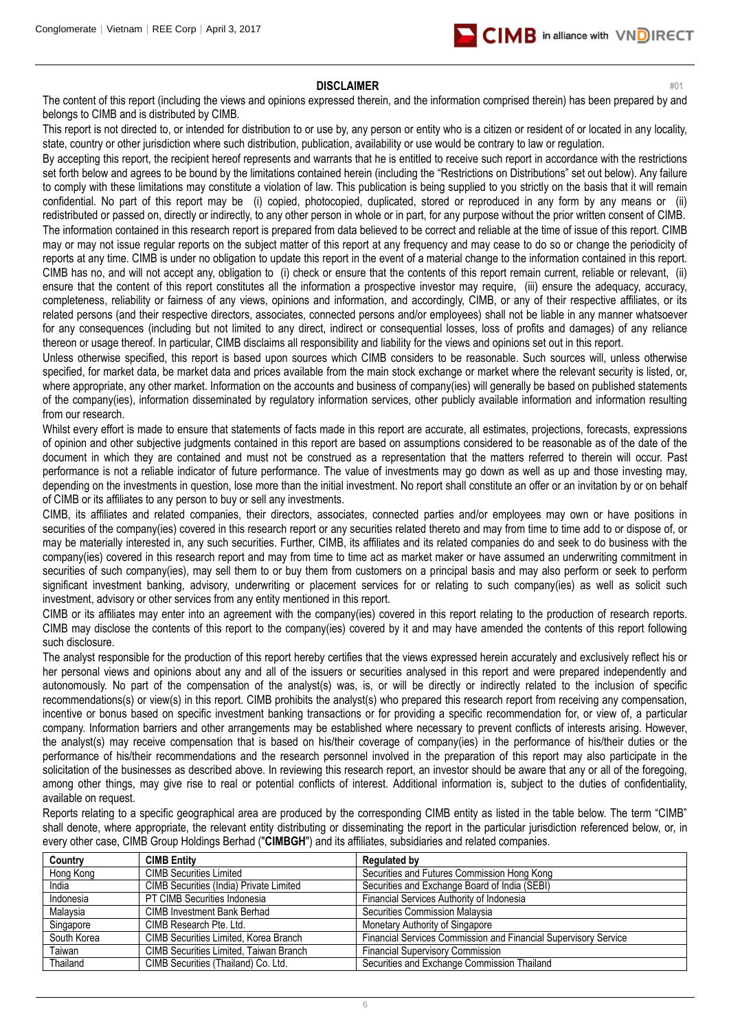

#### **DISCLAIMER** #01

The content of this report (including the views and opinions expressed therein, and the information comprised therein) has been prepared by and belongs to CIMB and is distributed by CIMB.

This report is not directed to, or intended for distribution to or use by, any person or entity who is a citizen or resident of or located in any locality, state, country or other jurisdiction where such distribution, publication, availability or use would be contrary to law or regulation.

By accepting this report, the recipient hereof represents and warrants that he is entitled to receive such report in accordance with the restrictions set forth below and agrees to be bound by the limitations contained herein (including the "Restrictions on Distributions" set out below). Any failure to comply with these limitations may constitute a violation of law. This publication is being supplied to you strictly on the basis that it will remain confidential. No part of this report may be (i) copied, photocopied, duplicated, stored or reproduced in any form by any means or (ii) redistributed or passed on, directly or indirectly, to any other person in whole or in part, for any purpose without the prior written consent of CIMB. The information contained in this research report is prepared from data believed to be correct and reliable at the time of issue of this report. CIMB may or may not issue regular reports on the subject matter of this report at any frequency and may cease to do so or change the periodicity of reports at any time. CIMB is under no obligation to update this report in the event of a material change to the information contained in this report. CIMB has no, and will not accept any, obligation to (i) check or ensure that the contents of this report remain current, reliable or relevant, (ii) ensure that the content of this report constitutes all the information a prospective investor may require, (iii) ensure the adequacy, accuracy, completeness, reliability or fairness of any views, opinions and information, and accordingly, CIMB, or any of their respective affiliates, or its related persons (and their respective directors, associates, connected persons and/or employees) shall not be liable in any manner whatsoever for any consequences (including but not limited to any direct, indirect or consequential losses, loss of profits and damages) of any reliance thereon or usage thereof. In particular, CIMB disclaims all responsibility and liability for the views and opinions set out in this report.

Unless otherwise specified, this report is based upon sources which CIMB considers to be reasonable. Such sources will, unless otherwise specified, for market data, be market data and prices available from the main stock exchange or market where the relevant security is listed, or, where appropriate, any other market. Information on the accounts and business of company(ies) will generally be based on published statements of the company(ies), information disseminated by regulatory information services, other publicly available information and information resulting from our research.

Whilst every effort is made to ensure that statements of facts made in this report are accurate, all estimates, projections, forecasts, expressions of opinion and other subjective judgments contained in this report are based on assumptions considered to be reasonable as of the date of the document in which they are contained and must not be construed as a representation that the matters referred to therein will occur. Past performance is not a reliable indicator of future performance. The value of investments may go down as well as up and those investing may, depending on the investments in question, lose more than the initial investment. No report shall constitute an offer or an invitation by or on behalf of CIMB or its affiliates to any person to buy or sell any investments.

CIMB, its affiliates and related companies, their directors, associates, connected parties and/or employees may own or have positions in securities of the company(ies) covered in this research report or any securities related thereto and may from time to time add to or dispose of, or may be materially interested in, any such securities. Further, CIMB, its affiliates and its related companies do and seek to do business with the company(ies) covered in this research report and may from time to time act as market maker or have assumed an underwriting commitment in securities of such company(ies), may sell them to or buy them from customers on a principal basis and may also perform or seek to perform significant investment banking, advisory, underwriting or placement services for or relating to such company(ies) as well as solicit such investment, advisory or other services from any entity mentioned in this report.

CIMB or its affiliates may enter into an agreement with the company(ies) covered in this report relating to the production of research reports. CIMB may disclose the contents of this report to the company(ies) covered by it and may have amended the contents of this report following such disclosure.

The analyst responsible for the production of this report hereby certifies that the views expressed herein accurately and exclusively reflect his or her personal views and opinions about any and all of the issuers or securities analysed in this report and were prepared independently and autonomously. No part of the compensation of the analyst(s) was, is, or will be directly or indirectly related to the inclusion of specific recommendations(s) or view(s) in this report. CIMB prohibits the analyst(s) who prepared this research report from receiving any compensation, incentive or bonus based on specific investment banking transactions or for providing a specific recommendation for, or view of, a particular company. Information barriers and other arrangements may be established where necessary to prevent conflicts of interests arising. However, the analyst(s) may receive compensation that is based on his/their coverage of company(ies) in the performance of his/their duties or the performance of his/their recommendations and the research personnel involved in the preparation of this report may also participate in the solicitation of the businesses as described above. In reviewing this research report, an investor should be aware that any or all of the foregoing, among other things, may give rise to real or potential conflicts of interest. Additional information is, subject to the duties of confidentiality, available on request.

Reports relating to a specific geographical area are produced by the corresponding CIMB entity as listed in the table below. The term "CIMB" shall denote, where appropriate, the relevant entity distributing or disseminating the report in the particular jurisdiction referenced below, or, in every other case, CIMB Group Holdings Berhad ("**CIMBGH**") and its affiliates, subsidiaries and related companies.

| Country     | <b>CIMB Entity</b>                      | <b>Regulated by</b>                                             |
|-------------|-----------------------------------------|-----------------------------------------------------------------|
| Hong Kong   | <b>CIMB Securities Limited</b>          | Securities and Futures Commission Hong Kong                     |
| India       | CIMB Securities (India) Private Limited | Securities and Exchange Board of India (SEBI)                   |
| Indonesia   | PT CIMB Securities Indonesia            | Financial Services Authority of Indonesia                       |
| Malaysia    | CIMB Investment Bank Berhad             | Securities Commission Malaysia                                  |
| Singapore   | CIMB Research Pte. Ltd.                 | Monetary Authority of Singapore                                 |
| South Korea | CIMB Securities Limited, Korea Branch   | Financial Services Commission and Financial Supervisory Service |
| Taiwan      | CIMB Securities Limited, Taiwan Branch  | <b>Financial Supervisory Commission</b>                         |
| Thailand    | CIMB Securities (Thailand) Co. Ltd.     | Securities and Exchange Commission Thailand                     |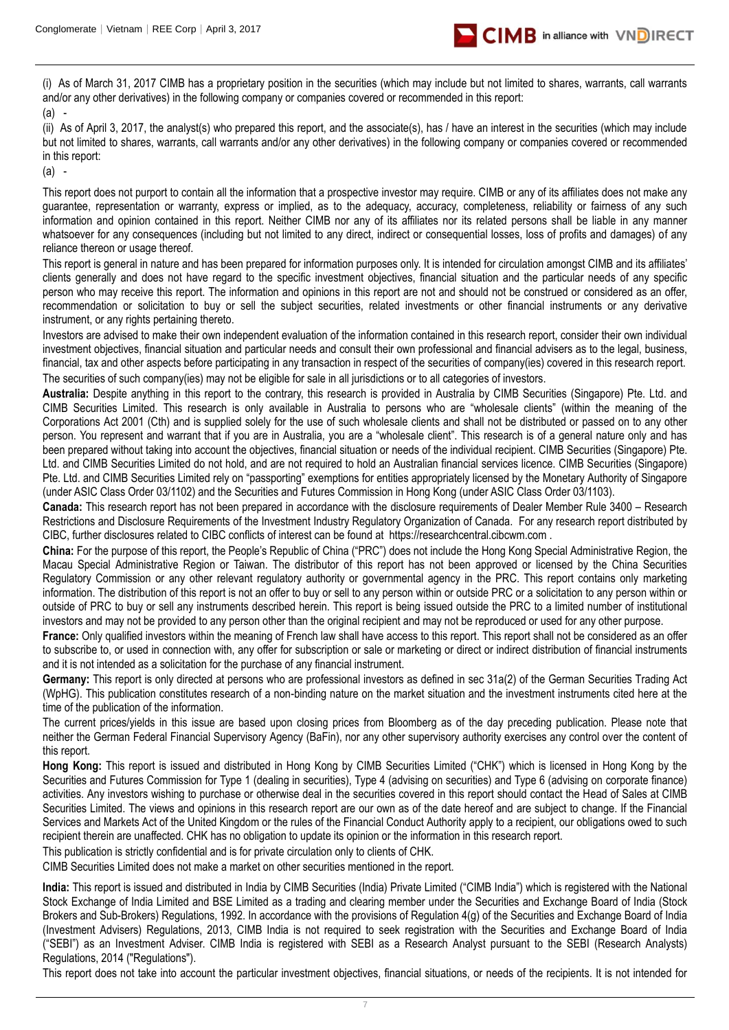

(i) As of March 31, 2017 CIMB has a proprietary position in the securities (which may include but not limited to shares, warrants, call warrants and/or any other derivatives) in the following company or companies covered or recommended in this report:

(a) -

(ii) As of April 3, 2017, the analyst(s) who prepared this report, and the associate(s), has / have an interest in the securities (which may include but not limited to shares, warrants, call warrants and/or any other derivatives) in the following company or companies covered or recommended in this report:

(a) -

This report does not purport to contain all the information that a prospective investor may require. CIMB or any of its affiliates does not make any guarantee, representation or warranty, express or implied, as to the adequacy, accuracy, completeness, reliability or fairness of any such information and opinion contained in this report. Neither CIMB nor any of its affiliates nor its related persons shall be liable in any manner whatsoever for any consequences (including but not limited to any direct, indirect or consequential losses, loss of profits and damages) of any reliance thereon or usage thereof.

This report is general in nature and has been prepared for information purposes only. It is intended for circulation amongst CIMB and its affiliates' clients generally and does not have regard to the specific investment objectives, financial situation and the particular needs of any specific person who may receive this report. The information and opinions in this report are not and should not be construed or considered as an offer, recommendation or solicitation to buy or sell the subject securities, related investments or other financial instruments or any derivative instrument, or any rights pertaining thereto.

Investors are advised to make their own independent evaluation of the information contained in this research report, consider their own individual investment objectives, financial situation and particular needs and consult their own professional and financial advisers as to the legal, business, financial, tax and other aspects before participating in any transaction in respect of the securities of company(ies) covered in this research report. The securities of such company(ies) may not be eligible for sale in all jurisdictions or to all categories of investors.

**Australia:** Despite anything in this report to the contrary, this research is provided in Australia by CIMB Securities (Singapore) Pte. Ltd. and CIMB Securities Limited. This research is only available in Australia to persons who are "wholesale clients" (within the meaning of the Corporations Act 2001 (Cth) and is supplied solely for the use of such wholesale clients and shall not be distributed or passed on to any other person. You represent and warrant that if you are in Australia, you are a "wholesale client". This research is of a general nature only and has been prepared without taking into account the objectives, financial situation or needs of the individual recipient. CIMB Securities (Singapore) Pte. Ltd. and CIMB Securities Limited do not hold, and are not required to hold an Australian financial services licence. CIMB Securities (Singapore) Pte. Ltd. and CIMB Securities Limited rely on "passporting" exemptions for entities appropriately licensed by the Monetary Authority of Singapore (under ASIC Class Order 03/1102) and the Securities and Futures Commission in Hong Kong (under ASIC Class Order 03/1103).

**Canada:** This research report has not been prepared in accordance with the disclosure requirements of Dealer Member Rule 3400 – Research Restrictions and Disclosure Requirements of the Investment Industry Regulatory Organization of Canada. For any research report distributed by CIBC, further disclosures related to CIBC conflicts of interest can be found at https://researchcentral.cibcwm.com .

**China:** For the purpose of this report, the People's Republic of China ("PRC") does not include the Hong Kong Special Administrative Region, the Macau Special Administrative Region or Taiwan. The distributor of this report has not been approved or licensed by the China Securities Regulatory Commission or any other relevant regulatory authority or governmental agency in the PRC. This report contains only marketing information. The distribution of this report is not an offer to buy or sell to any person within or outside PRC or a solicitation to any person within or outside of PRC to buy or sell any instruments described herein. This report is being issued outside the PRC to a limited number of institutional investors and may not be provided to any person other than the original recipient and may not be reproduced or used for any other purpose.

**France:** Only qualified investors within the meaning of French law shall have access to this report. This report shall not be considered as an offer to subscribe to, or used in connection with, any offer for subscription or sale or marketing or direct or indirect distribution of financial instruments and it is not intended as a solicitation for the purchase of any financial instrument.

**Germany:** This report is only directed at persons who are professional investors as defined in sec 31a(2) of the German Securities Trading Act (WpHG). This publication constitutes research of a non-binding nature on the market situation and the investment instruments cited here at the time of the publication of the information.

The current prices/yields in this issue are based upon closing prices from Bloomberg as of the day preceding publication. Please note that neither the German Federal Financial Supervisory Agency (BaFin), nor any other supervisory authority exercises any control over the content of this report.

**Hong Kong:** This report is issued and distributed in Hong Kong by CIMB Securities Limited ("CHK") which is licensed in Hong Kong by the Securities and Futures Commission for Type 1 (dealing in securities), Type 4 (advising on securities) and Type 6 (advising on corporate finance) activities. Any investors wishing to purchase or otherwise deal in the securities covered in this report should contact the Head of Sales at CIMB Securities Limited. The views and opinions in this research report are our own as of the date hereof and are subject to change. If the Financial Services and Markets Act of the United Kingdom or the rules of the Financial Conduct Authority apply to a recipient, our obligations owed to such recipient therein are unaffected. CHK has no obligation to update its opinion or the information in this research report.

This publication is strictly confidential and is for private circulation only to clients of CHK.

CIMB Securities Limited does not make a market on other securities mentioned in the report.

**India:** This report is issued and distributed in India by CIMB Securities (India) Private Limited ("CIMB India") which is registered with the National Stock Exchange of India Limited and BSE Limited as a trading and clearing member under the Securities and Exchange Board of India (Stock Brokers and Sub-Brokers) Regulations, 1992. In accordance with the provisions of Regulation 4(g) of the Securities and Exchange Board of India (Investment Advisers) Regulations, 2013, CIMB India is not required to seek registration with the Securities and Exchange Board of India ("SEBI") as an Investment Adviser. CIMB India is registered with SEBI as a Research Analyst pursuant to the SEBI (Research Analysts) Regulations, 2014 ("Regulations").

This report does not take into account the particular investment objectives, financial situations, or needs of the recipients. It is not intended for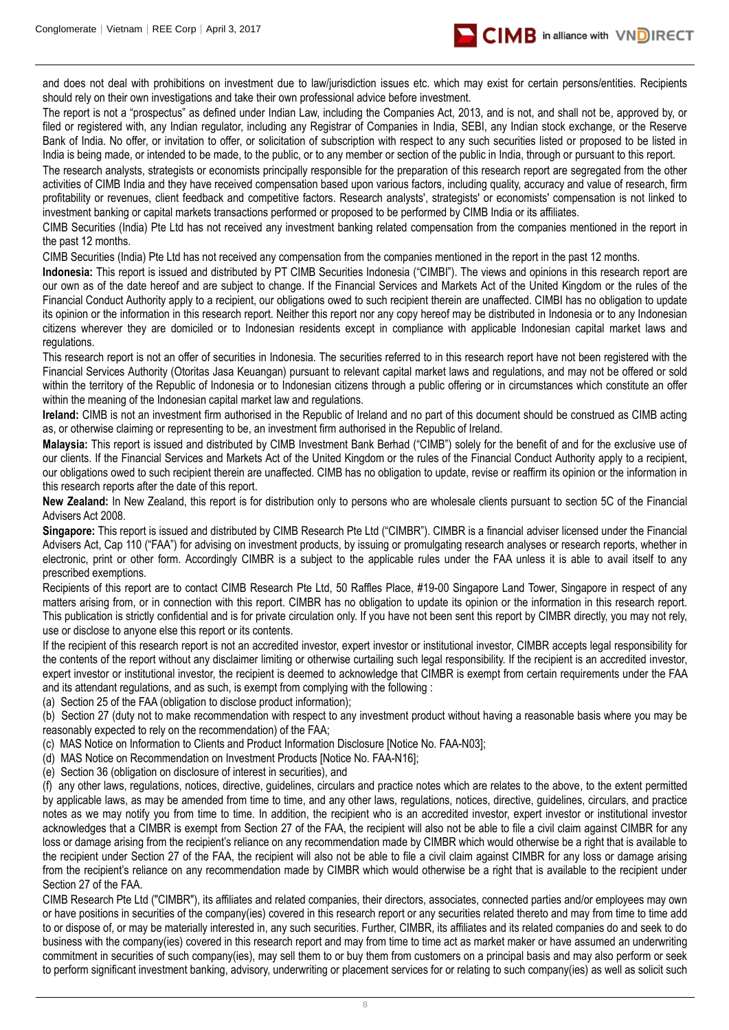

and does not deal with prohibitions on investment due to law/jurisdiction issues etc. which may exist for certain persons/entities. Recipients should rely on their own investigations and take their own professional advice before investment.

The report is not a "prospectus" as defined under Indian Law, including the Companies Act, 2013, and is not, and shall not be, approved by, or filed or registered with, any Indian regulator, including any Registrar of Companies in India, SEBI, any Indian stock exchange, or the Reserve Bank of India. No offer, or invitation to offer, or solicitation of subscription with respect to any such securities listed or proposed to be listed in India is being made, or intended to be made, to the public, or to any member or section of the public in India, through or pursuant to this report.

The research analysts, strategists or economists principally responsible for the preparation of this research report are segregated from the other activities of CIMB India and they have received compensation based upon various factors, including quality, accuracy and value of research, firm profitability or revenues, client feedback and competitive factors. Research analysts', strategists' or economists' compensation is not linked to investment banking or capital markets transactions performed or proposed to be performed by CIMB India or its affiliates.

CIMB Securities (India) Pte Ltd has not received any investment banking related compensation from the companies mentioned in the report in the past 12 months.

CIMB Securities (India) Pte Ltd has not received any compensation from the companies mentioned in the report in the past 12 months.

**Indonesia:** This report is issued and distributed by PT CIMB Securities Indonesia ("CIMBI"). The views and opinions in this research report are our own as of the date hereof and are subject to change. If the Financial Services and Markets Act of the United Kingdom or the rules of the Financial Conduct Authority apply to a recipient, our obligations owed to such recipient therein are unaffected. CIMBI has no obligation to update its opinion or the information in this research report. Neither this report nor any copy hereof may be distributed in Indonesia or to any Indonesian citizens wherever they are domiciled or to Indonesian residents except in compliance with applicable Indonesian capital market laws and regulations.

This research report is not an offer of securities in Indonesia. The securities referred to in this research report have not been registered with the Financial Services Authority (Otoritas Jasa Keuangan) pursuant to relevant capital market laws and regulations, and may not be offered or sold within the territory of the Republic of Indonesia or to Indonesian citizens through a public offering or in circumstances which constitute an offer within the meaning of the Indonesian capital market law and regulations.

**Ireland:** CIMB is not an investment firm authorised in the Republic of Ireland and no part of this document should be construed as CIMB acting as, or otherwise claiming or representing to be, an investment firm authorised in the Republic of Ireland.

**Malaysia:** This report is issued and distributed by CIMB Investment Bank Berhad ("CIMB") solely for the benefit of and for the exclusive use of our clients. If the Financial Services and Markets Act of the United Kingdom or the rules of the Financial Conduct Authority apply to a recipient, our obligations owed to such recipient therein are unaffected. CIMB has no obligation to update, revise or reaffirm its opinion or the information in this research reports after the date of this report.

**New Zealand:** In New Zealand, this report is for distribution only to persons who are wholesale clients pursuant to section 5C of the Financial Advisers Act 2008.

**Singapore:** This report is issued and distributed by CIMB Research Pte Ltd ("CIMBR"). CIMBR is a financial adviser licensed under the Financial Advisers Act, Cap 110 ("FAA") for advising on investment products, by issuing or promulgating research analyses or research reports, whether in electronic, print or other form. Accordingly CIMBR is a subject to the applicable rules under the FAA unless it is able to avail itself to any prescribed exemptions.

Recipients of this report are to contact CIMB Research Pte Ltd, 50 Raffles Place, #19-00 Singapore Land Tower, Singapore in respect of any matters arising from, or in connection with this report. CIMBR has no obligation to update its opinion or the information in this research report. This publication is strictly confidential and is for private circulation only. If you have not been sent this report by CIMBR directly, you may not rely, use or disclose to anyone else this report or its contents.

If the recipient of this research report is not an accredited investor, expert investor or institutional investor, CIMBR accepts legal responsibility for the contents of the report without any disclaimer limiting or otherwise curtailing such legal responsibility. If the recipient is an accredited investor, expert investor or institutional investor, the recipient is deemed to acknowledge that CIMBR is exempt from certain requirements under the FAA and its attendant regulations, and as such, is exempt from complying with the following :

(a) Section 25 of the FAA (obligation to disclose product information);

(b) Section 27 (duty not to make recommendation with respect to any investment product without having a reasonable basis where you may be reasonably expected to rely on the recommendation) of the FAA;

- (c) MAS Notice on Information to Clients and Product Information Disclosure [Notice No. FAA-N03];
- (d) MAS Notice on Recommendation on Investment Products [Notice No. FAA-N16];
- (e) Section 36 (obligation on disclosure of interest in securities), and

(f) any other laws, regulations, notices, directive, guidelines, circulars and practice notes which are relates to the above, to the extent permitted by applicable laws, as may be amended from time to time, and any other laws, regulations, notices, directive, guidelines, circulars, and practice notes as we may notify you from time to time. In addition, the recipient who is an accredited investor, expert investor or institutional investor acknowledges that a CIMBR is exempt from Section 27 of the FAA, the recipient will also not be able to file a civil claim against CIMBR for any loss or damage arising from the recipient's reliance on any recommendation made by CIMBR which would otherwise be a right that is available to the recipient under Section 27 of the FAA, the recipient will also not be able to file a civil claim against CIMBR for any loss or damage arising from the recipient's reliance on any recommendation made by CIMBR which would otherwise be a right that is available to the recipient under Section 27 of the FAA.

CIMB Research Pte Ltd ("CIMBR"), its affiliates and related companies, their directors, associates, connected parties and/or employees may own or have positions in securities of the company(ies) covered in this research report or any securities related thereto and may from time to time add to or dispose of, or may be materially interested in, any such securities. Further, CIMBR, its affiliates and its related companies do and seek to do business with the company(ies) covered in this research report and may from time to time act as market maker or have assumed an underwriting commitment in securities of such company(ies), may sell them to or buy them from customers on a principal basis and may also perform or seek to perform significant investment banking, advisory, underwriting or placement services for or relating to such company(ies) as well as solicit such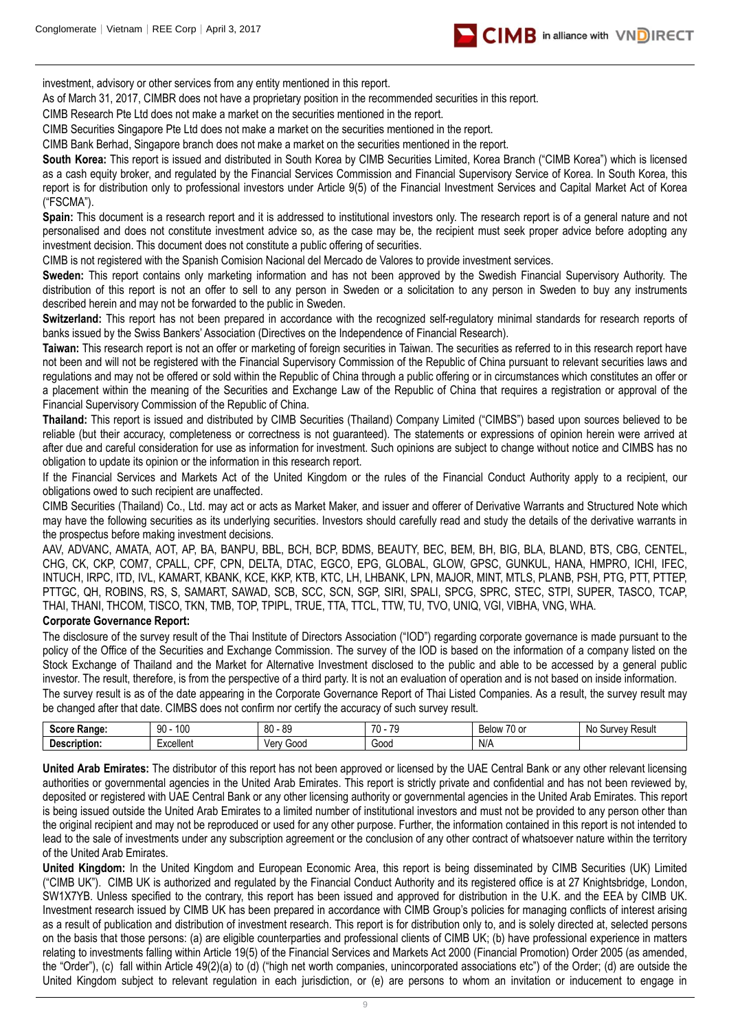

investment, advisory or other services from any entity mentioned in this report.

As of March 31, 2017, CIMBR does not have a proprietary position in the recommended securities in this report.

CIMB Research Pte Ltd does not make a market on the securities mentioned in the report.

CIMB Securities Singapore Pte Ltd does not make a market on the securities mentioned in the report.

CIMB Bank Berhad, Singapore branch does not make a market on the securities mentioned in the report.

**South Korea:** This report is issued and distributed in South Korea by CIMB Securities Limited, Korea Branch ("CIMB Korea") which is licensed as a cash equity broker, and regulated by the Financial Services Commission and Financial Supervisory Service of Korea. In South Korea, this report is for distribution only to professional investors under Article 9(5) of the Financial Investment Services and Capital Market Act of Korea ("FSCMA").

**Spain:** This document is a research report and it is addressed to institutional investors only. The research report is of a general nature and not personalised and does not constitute investment advice so, as the case may be, the recipient must seek proper advice before adopting any investment decision. This document does not constitute a public offering of securities.

CIMB is not registered with the Spanish Comision Nacional del Mercado de Valores to provide investment services.

**Sweden:** This report contains only marketing information and has not been approved by the Swedish Financial Supervisory Authority. The distribution of this report is not an offer to sell to any person in Sweden or a solicitation to any person in Sweden to buy any instruments described herein and may not be forwarded to the public in Sweden.

**Switzerland:** This report has not been prepared in accordance with the recognized self-regulatory minimal standards for research reports of banks issued by the Swiss Bankers' Association (Directives on the Independence of Financial Research).

Taiwan: This research report is not an offer or marketing of foreign securities in Taiwan. The securities as referred to in this research report have not been and will not be registered with the Financial Supervisory Commission of the Republic of China pursuant to relevant securities laws and regulations and may not be offered or sold within the Republic of China through a public offering or in circumstances which constitutes an offer or a placement within the meaning of the Securities and Exchange Law of the Republic of China that requires a registration or approval of the Financial Supervisory Commission of the Republic of China.

**Thailand:** This report is issued and distributed by CIMB Securities (Thailand) Company Limited ("CIMBS") based upon sources believed to be reliable (but their accuracy, completeness or correctness is not guaranteed). The statements or expressions of opinion herein were arrived at after due and careful consideration for use as information for investment. Such opinions are subject to change without notice and CIMBS has no obligation to update its opinion or the information in this research report.

If the Financial Services and Markets Act of the United Kingdom or the rules of the Financial Conduct Authority apply to a recipient, our obligations owed to such recipient are unaffected.

CIMB Securities (Thailand) Co., Ltd. may act or acts as Market Maker, and issuer and offerer of Derivative Warrants and Structured Note which may have the following securities as its underlying securities. Investors should carefully read and study the details of the derivative warrants in the prospectus before making investment decisions.

AAV, ADVANC, AMATA, AOT, AP, BA, BANPU, BBL, BCH, BCP, BDMS, BEAUTY, BEC, BEM, BH, BIG, BLA, BLAND, BTS, CBG, CENTEL, CHG, CK, CKP, COM7, CPALL, CPF, CPN, DELTA, DTAC, EGCO, EPG, GLOBAL, GLOW, GPSC, GUNKUL, HANA, HMPRO, ICHI, IFEC, INTUCH, IRPC, ITD, IVL, KAMART, KBANK, KCE, KKP, KTB, KTC, LH, LHBANK, LPN, MAJOR, MINT, MTLS, PLANB, PSH, PTG, PTT, PTTEP, PTTGC, QH, ROBINS, RS, S, SAMART, SAWAD, SCB, SCC, SCN, SGP, SIRI, SPALI, SPCG, SPRC, STEC, STPI, SUPER, TASCO, TCAP, THAI, THANI, THCOM, TISCO, TKN, TMB, TOP, TPIPL, TRUE, TTA, TTCL, TTW, TU, TVO, UNIQ, VGI, VIBHA, VNG, WHA.

#### **Corporate Governance Report:**

The disclosure of the survey result of the Thai Institute of Directors Association ("IOD") regarding corporate governance is made pursuant to the policy of the Office of the Securities and Exchange Commission. The survey of the IOD is based on the information of a company listed on the Stock Exchange of Thailand and the Market for Alternative Investment disclosed to the public and able to be accessed by a general public investor. The result, therefore, is from the perspective of a third party. It is not an evaluation of operation and is not based on inside information.

The survey result is as of the date appearing in the Corporate Governance Report of Thai Listed Companies. As a result, the survey result may be changed after that date. CIMBS does not confirm nor certify the accuracy of such survey result.

| Score<br><b>Range:</b> | 100<br>۵O<br>JU | 80<br><b>RC</b><br>ັບ | $\rightarrow$<br>$\rightarrow$<br>$\cdot$ | $\overline{\phantom{a}}$<br>$\sim$<br>1.81<br>טוסט<br>70 U | No<br>Result<br>$\cdots$<br>v.<br>ື |
|------------------------|-----------------|-----------------------|-------------------------------------------|------------------------------------------------------------|-------------------------------------|
| scription.<br>Desci    | xcellent        | 300d<br>Verv          | Good                                      | N/A                                                        |                                     |

**United Arab Emirates:** The distributor of this report has not been approved or licensed by the UAE Central Bank or any other relevant licensing authorities or governmental agencies in the United Arab Emirates. This report is strictly private and confidential and has not been reviewed by, deposited or registered with UAE Central Bank or any other licensing authority or governmental agencies in the United Arab Emirates. This report is being issued outside the United Arab Emirates to a limited number of institutional investors and must not be provided to any person other than the original recipient and may not be reproduced or used for any other purpose. Further, the information contained in this report is not intended to lead to the sale of investments under any subscription agreement or the conclusion of any other contract of whatsoever nature within the territory of the United Arab Emirates.

**United Kingdom:** In the United Kingdom and European Economic Area, this report is being disseminated by CIMB Securities (UK) Limited ("CIMB UK"). CIMB UK is authorized and regulated by the Financial Conduct Authority and its registered office is at 27 Knightsbridge, London, SW1X7YB. Unless specified to the contrary, this report has been issued and approved for distribution in the U.K. and the EEA by CIMB UK. Investment research issued by CIMB UK has been prepared in accordance with CIMB Group's policies for managing conflicts of interest arising as a result of publication and distribution of investment research. This report is for distribution only to, and is solely directed at, selected persons on the basis that those persons: (a) are eligible counterparties and professional clients of CIMB UK; (b) have professional experience in matters relating to investments falling within Article 19(5) of the Financial Services and Markets Act 2000 (Financial Promotion) Order 2005 (as amended, the "Order"), (c) fall within Article 49(2)(a) to (d) ("high net worth companies, unincorporated associations etc") of the Order; (d) are outside the United Kingdom subject to relevant regulation in each jurisdiction, or (e) are persons to whom an invitation or inducement to engage in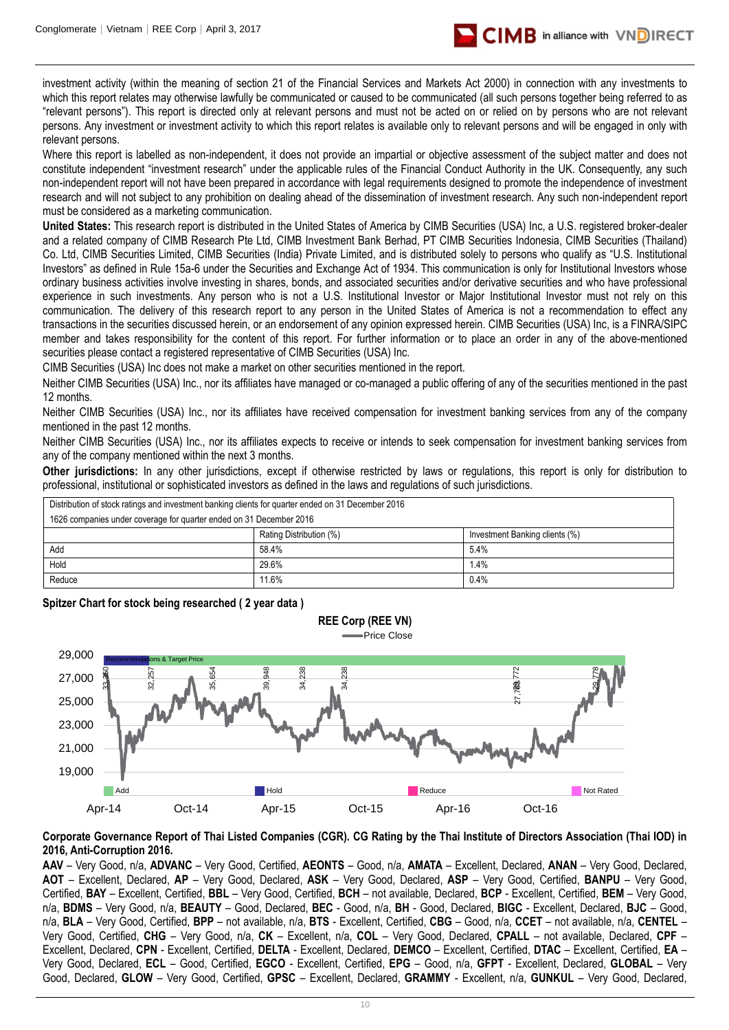

investment activity (within the meaning of section 21 of the Financial Services and Markets Act 2000) in connection with any investments to which this report relates may otherwise lawfully be communicated or caused to be communicated (all such persons together being referred to as "relevant persons"). This report is directed only at relevant persons and must not be acted on or relied on by persons who are not relevant persons. Any investment or investment activity to which this report relates is available only to relevant persons and will be engaged in only with relevant persons.

Where this report is labelled as non-independent, it does not provide an impartial or objective assessment of the subject matter and does not constitute independent "investment research" under the applicable rules of the Financial Conduct Authority in the UK. Consequently, any such non-independent report will not have been prepared in accordance with legal requirements designed to promote the independence of investment research and will not subject to any prohibition on dealing ahead of the dissemination of investment research. Any such non-independent report must be considered as a marketing communication.

**United States:** This research report is distributed in the United States of America by CIMB Securities (USA) Inc, a U.S. registered broker-dealer and a related company of CIMB Research Pte Ltd, CIMB Investment Bank Berhad, PT CIMB Securities Indonesia, CIMB Securities (Thailand) Co. Ltd, CIMB Securities Limited, CIMB Securities (India) Private Limited, and is distributed solely to persons who qualify as "U.S. Institutional Investors" as defined in Rule 15a-6 under the Securities and Exchange Act of 1934. This communication is only for Institutional Investors whose ordinary business activities involve investing in shares, bonds, and associated securities and/or derivative securities and who have professional experience in such investments. Any person who is not a U.S. Institutional Investor or Major Institutional Investor must not rely on this communication. The delivery of this research report to any person in the United States of America is not a recommendation to effect any transactions in the securities discussed herein, or an endorsement of any opinion expressed herein. CIMB Securities (USA) Inc, is a FINRA/SIPC member and takes responsibility for the content of this report. For further information or to place an order in any of the above-mentioned securities please contact a registered representative of CIMB Securities (USA) Inc.

CIMB Securities (USA) Inc does not make a market on other securities mentioned in the report.

Neither CIMB Securities (USA) Inc., nor its affiliates have managed or co-managed a public offering of any of the securities mentioned in the past 12 months.

Neither CIMB Securities (USA) Inc., nor its affiliates have received compensation for investment banking services from any of the company mentioned in the past 12 months.

Neither CIMB Securities (USA) Inc., nor its affiliates expects to receive or intends to seek compensation for investment banking services from any of the company mentioned within the next 3 months.

**Other jurisdictions:** In any other jurisdictions, except if otherwise restricted by laws or regulations, this report is only for distribution to professional, institutional or sophisticated investors as defined in the laws and regulations of such jurisdictions.

| Distribution of stock ratings and investment banking clients for quarter ended on 31 December 2016 |                         |                                |  |  |  |
|----------------------------------------------------------------------------------------------------|-------------------------|--------------------------------|--|--|--|
| 1626 companies under coverage for quarter ended on 31 December 2016                                |                         |                                |  |  |  |
|                                                                                                    | Rating Distribution (%) | Investment Banking clients (%) |  |  |  |
| Add                                                                                                | 58.4%                   | 5.4%                           |  |  |  |
| Hold                                                                                               | 29.6%                   | 1.4%                           |  |  |  |
| Reduce                                                                                             | 11.6%                   | 0.4%                           |  |  |  |

**Spitzer Chart for stock being researched ( 2 year data )** 



**Corporate Governance Report of Thai Listed Companies (CGR). CG Rating by the Thai Institute of Directors Association (Thai IOD) in 2016, Anti-Corruption 2016.**

**AAV** – Very Good, n/a, **ADVANC** – Very Good, Certified, **AEONTS** – Good, n/a, **AMATA** – Excellent, Declared, **ANAN** – Very Good, Declared, **AOT** – Excellent, Declared, **AP** – Very Good, Declared, **ASK** – Very Good, Declared, **ASP** – Very Good, Certified, **BANPU** – Very Good, Certified, **BAY** – Excellent, Certified, **BBL** – Very Good, Certified, **BCH** – not available, Declared, **BCP** - Excellent, Certified, **BEM** – Very Good, n/a, **BDMS** – Very Good, n/a, **BEAUTY** – Good, Declared, **BEC** - Good, n/a, **BH** - Good, Declared, **BIGC** - Excellent, Declared, **BJC** – Good, n/a, **BLA** – Very Good, Certified, **BPP** – not available, n/a, **BTS** - Excellent, Certified, **CBG** – Good, n/a, **CCET** – not available, n/a, **CENTEL** – Very Good, Certified, **CHG** – Very Good, n/a, **CK** – Excellent, n/a, **COL** – Very Good, Declared, **CPALL** – not available, Declared, **CPF** – Excellent, Declared, **CPN** - Excellent, Certified, **DELTA** - Excellent, Declared, **DEMCO** – Excellent, Certified, **DTAC** – Excellent, Certified, **EA** – Very Good, Declared, **ECL** – Good, Certified, **EGCO** - Excellent, Certified, **EPG** – Good, n/a, **GFPT** - Excellent, Declared, **GLOBAL** – Very